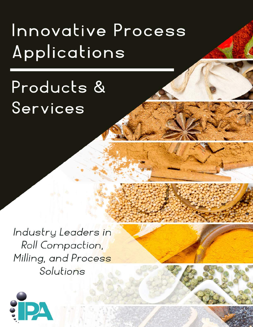# Innovative Process Applications

# Products & Services

Industry Leaders in Roll Compaction, Milling, and Process Solutions

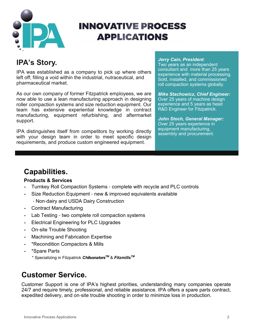

# **INNOVATIVE PROCESS APPLICATIONS**

## **IPA's Story.**

IPA was established as a company to pick up where others left off; filling a void within the industrial, nutraceutical, and pharmaceutical market.

As our own company of former Fitzpatrick employees, we are now able to use a lean manufacturing approach in designing roller compaction systems and size reduction equipment. Our team has extensive experiential knowledge in contract manufacturing, equipment refurbishing, and aftermarket support.

IPA distinguishes itself from competitors by working directly with your design team in order to meet specific design requirements, and produce custom engineered equipment.

#### *Jerry Cain, President*:

Two years as an independent consultant and more than 25 years experience with material processing. Sold, installed, and commissioned roll compaction systems globally.

*Mike Stachowicz, Chief Engineer:* Over 25 years of machine design experience and 5 years as head R&D Engineer for Fitzpatrick.

*John Stoch, General Manager:*  Over 25 years experience in equipment manufacturing, assembly and procurement.

## **Capabilities.**

#### **Products & Services**

- Turnkey Roll Compaction Systems complete with recycle and PLC controls
- Size Reduction Equipment new & improved equivalents available
	- Non-dairy and USDA Dairy Construction
- Contract Manufacturing
- Lab Testing two complete roll compaction systems
- Electrical Engineering for PLC Upgrades
- On-site Trouble Shooting
- Machining and Fabrication Expertise
- \*Recondition Compactors & Mills
- \*Spare Parts
	- \* Specializing in Fitzpatrick *ChilsonatorsTM* & *FitzmillsTM*

## **Customer Service.**

Customer Support is one of IPA's highest priorities, understanding many companies operate 24/7 and require timely, professional, and reliable assistance. IPA offers a spare parts contract, expedited delivery, and on-site trouble shooting in order to minimize loss in production.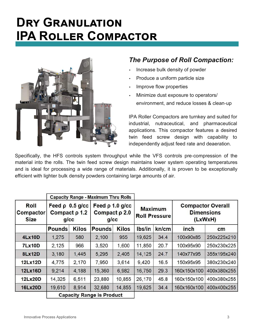# **DRY GRANULATION IPA ROLLER COMPACTOR**



### *The Purpose of Roll Compaction:*

- Increase bulk density of powder
- Produce a uniform particle size
- Improve flow properties
- Minimize dust exposure to operators/ environment, and reduce losses & clean-up

IPA Roller Compactors are turnkey and suited for industrial, nutraceutical, and pharmaceutical applications. This compactor features a desired twin feed screw design with capability to independently adjust feed rate and deaeration.

Specifically, the HFS controls system throughput while the VFS controls pre-compression of the material into the rolls. The twin feed screw design maintains lower system operating temperatures and is ideal for processing a wide range of materials. Additionally, it is proven to be exceptionally efficient with lighter bulk density powders containing large amounts of air.

|                                         |                                                          | <b>Capacity Range - Maximum Thru Rolls</b> |                                                          |              |                                        |       |                                                          |             |
|-----------------------------------------|----------------------------------------------------------|--------------------------------------------|----------------------------------------------------------|--------------|----------------------------------------|-------|----------------------------------------------------------|-------------|
| Roll<br><b>Compactor</b><br><b>Size</b> | Feed $\rho$ 0.5 g/cc<br>Compact $\rho$ 1.2<br>$q$ / $cc$ |                                            | Feed $\rho$ 1.0 g/cc<br>Compact $\rho$ 2.0<br>$q$ / $cc$ |              | <b>Maximum</b><br><b>Roll Pressure</b> |       | <b>Compactor Overall</b><br><b>Dimensions</b><br>(LxWxH) |             |
|                                         | <b>Pounds</b>                                            | <b>Kilos</b>                               | <b>Pounds</b>                                            | <b>Kilos</b> | Ibs/in                                 | kn/cm | inch                                                     | cm          |
| <b>4Lx10D</b>                           | 1,275                                                    | 580                                        | 2,100                                                    | 955          | 19,625                                 | 34.4  | 100x90x85                                                | 250x225x210 |
| <b>7Lx10D</b>                           | 2,125                                                    | 966                                        | 3,520                                                    | 1,600        | 11,850                                 | 20.7  | 100x95x90                                                | 250x230x225 |
| <b>8Lx12D</b>                           | 3,180                                                    | 1,445                                      | 5,295                                                    | 2,405        | 14,125                                 | 24.7  | 140x77x95                                                | 355x195x240 |
| 12Lx12D                                 | 4,775                                                    | 2,170                                      | 7,950                                                    | 3,614        | 9,420                                  | 16.5  | 150x95x95                                                | 380x230x240 |
| 12Lx16D                                 | 9,214                                                    | 4,188                                      | 15,360                                                   | 6,982        | 16,750                                 | 29.3  | 160x150x100                                              | 400x380x255 |
| 12Lx20D                                 | 14,325                                                   | 6,511                                      | 23,880                                                   | 10,855       | 26,170                                 | 45.8  | 160x150x100                                              | 400x380x255 |
| <b>16Lx20D</b>                          | 19,610                                                   | 8,914                                      | 32,680                                                   | 14,855       | 19,625                                 | 34.4  | 160x160x100                                              | 400x400x255 |
|                                         |                                                          | <b>Capacity Range is Product</b>           |                                                          |              |                                        |       |                                                          |             |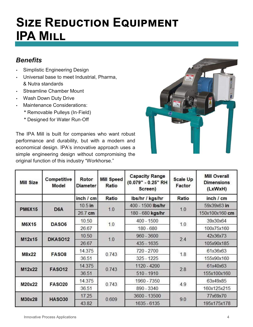# **SIZE REDUCTION EQUIPMENT IPA MILL**

### *Benefits*

- Simplistic Engineering Design
- Universal base to meet Industrial, Pharma, & Nutra standards
- Streamline Chamber Mount
- Wash Down Duty Drive
- Maintenance Considerations:
	- **\*** Removable Pulleys (In-Field)
	- **\*** Designed for Water Run-Off

The IPA Mill is built for companies who want robust performance and durability, but with a modern and economical design. IPA's innovative approach uses a simple engineering design without compromising the original function of this industry "Workhorse."



| <b>Mill Size</b> | Competitive<br>Model | Rotor<br><b>Diameter</b> | <b>Mill Speed</b><br>Ratio | <b>Capacity Range</b><br>(0.079" - 0.25" RH<br>Screen) | <b>Scale Up</b><br>Factor | <b>Mill Overall</b><br><b>Dimensions</b><br>(LxWxH) |
|------------------|----------------------|--------------------------|----------------------------|--------------------------------------------------------|---------------------------|-----------------------------------------------------|
|                  |                      | inch / cm                | Ratio                      | lbs/hr / kgs/hr                                        | Ratio                     | inch / cm                                           |
| <b>PM6X15</b>    | D <sub>6</sub> A     | $10.5$ in                |                            | 400 - 1500 lbs/hr                                      |                           | 59x39x63 in                                         |
|                  |                      | 26.7 cm                  | 1,0                        | 180 - 680 kgs/hr                                       | 1.0                       | 150x100x160 cm                                      |
| <b>M6X15</b>     | DASO <sub>6</sub>    | 10.50                    |                            | $400 - 1500$                                           |                           | 39x30x64                                            |
|                  |                      | 26.67                    | 1.0                        | $180 - 680$                                            | 1.0                       | 100x75x160                                          |
| M12x15           | DKAS012              | 10.50                    |                            | $960 - 3600$                                           | 2.4                       | 42x36x73                                            |
|                  |                      | 26.67                    | 1.0                        | 435 - 1635                                             |                           | 105x90x185                                          |
| M8x22            | FASO <sub>8</sub>    | 14.375                   | 0.743                      | 720 - 2700                                             | 1.8                       | 61x36x63                                            |
|                  |                      | 36.51                    |                            | $325 - 1225$                                           |                           | 155x90x160                                          |
| M12x22           | <b>FASO12</b>        | 14.375                   | 0.743                      | 1120 - 4200                                            | 2.8                       | 61x40x63                                            |
|                  |                      | 36.51                    |                            | $510 - 1910$                                           |                           | 155x100x160                                         |
| M20x22           | <b>FASO20</b>        | 14.375                   | 0.743                      | 1960 - 7350                                            |                           | 63x49x85                                            |
|                  |                      | 36.51                    |                            | 890 - 3340                                             | 4.9                       | 160x125x215                                         |
| M30x28           | <b>HASO30</b>        | 17.25                    | 0.609                      | 3600 - 13500                                           | 9.0                       | 77x69x70                                            |
|                  |                      | 43.82                    |                            | 1635 - 6135                                            |                           | 195x175x178                                         |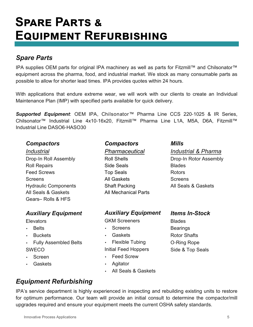# **SPARE PARTS & EQUIPMENT REFURBISHING**

### *Spare Parts*

IPA supplies OEM parts for original IPA machinery as well as parts for Fitzmill™ and Chilsonator™ equipment across the pharma, food, and industrial market. We stock as many consumable parts as possible to allow for shorter lead times. IPA provides quotes within 24 hours.

With applications that endure extreme wear, we will work with our clients to create an Individual Maintenance Plan (IMP) with specified parts available for quick delivery.

*Supported Equipment*: OEM IPA, Chilsonator™ Pharma Line CCS 220-1025 & IR Series, Chilsonator™ Industrial Line 4x10-16x20, Fitzmill™ Pharma Line L1A, M5A, D6A, Fitzmill™ Industrial Line DASO6-HASO30

#### *Compactors*

*Industrial*  Drop-In Roll Assembly Roll Repairs Feed Screws **Screens** Hydraulic Components All Seals & Gaskets Gears– Rolls & HFS

#### *Auxiliary Equipment*

- **Elevators**
- Belts
- **Buckets**
- Fully Assembled Belts SWECO
- **Screen**
- Gaskets

#### *Compactors*

*Pharmaceutical* 

Roll Shells Side Seals Top Seals All Gaskets Shaft Packing All Mechanical Parts

#### *Auxiliary Equipment*

GKM Screeners

- Screens
- Gaskets
- Flexible Tubing

#### Initial Feed Hoppers

- Feed Screw
- Agitator
- All Seals & Gaskets

### *Equipment Refurbishing*

IPA's service department is highly experienced in inspecting and rebuilding existing units to restore for optimum performance. Our team will provide an initial consult to determine the compactor/mill upgrades required and ensure your equipment meets the current OSHA safety standards.

#### *Items In***-***Stock*

All Seals & Gaskets

*Industrial & Pharma* Drop-In Rotor Assembly

*Mills*

Blades Rotors **Screens** 

Blades Bearings Rotor Shafts O-Ring Rope Side & Top Seals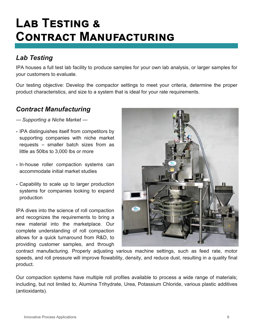# **LAB TESTING & CONTRACT MANUFACTURING**

### *Lab Testing*

IPA houses a full test lab facility to produce samples for your own lab analysis, or larger samples for your customers to evaluate.

Our testing objective: Develop the compactor settings to meet your criteria, determine the proper product characteristics, and size to a system that is ideal for your rate requirements.

#### *Contract Manufacturing*

— *Supporting a Niche Market* —

- IPA distinguishes itself from competitors by supporting companies with niche market requests – smaller batch sizes from as little as 50lbs to 3,000 lbs or more
- In-house roller compaction systems can accommodate initial market studies
- Capability to scale up to larger production systems for companies looking to expand production

IPA dives into the science of roll compaction and recognizes the requirements to bring a new material into the marketplace. Our complete understanding of roll compaction allows for a quick turnaround from R&D, to providing customer samples, and through



contract manufacturing. Properly adjusting various machine settings, such as feed rate, motor speeds, and roll pressure will improve flowability, density, and reduce dust, resulting in a quality final product.

Our compaction systems have multiple roll profiles available to process a wide range of materials; including, but not limited to, Alumina Trihydrate, Urea, Potassium Chloride, various plastic additives (antioxidants).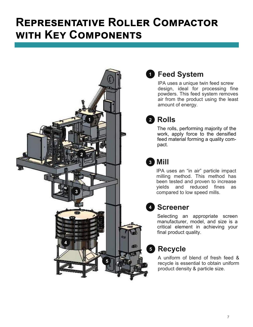# **REPRESENTATIVE ROLLER COMPACTOR WITH KEY COMPONENTS**